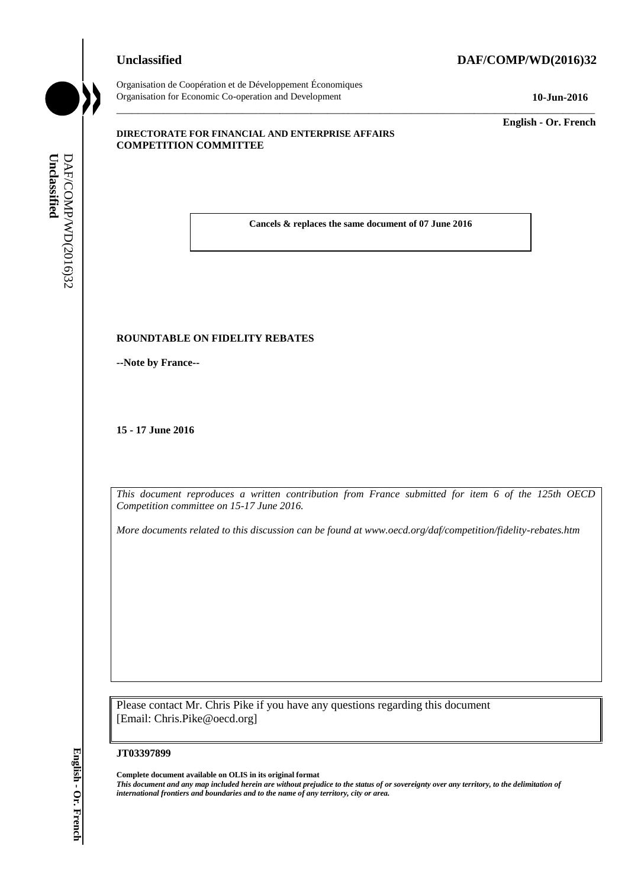## **Unclassified DAF/COMP/WD(2016)32**



Organisation de Coopération et de Développement Économiques Organisation for Economic Co-operation and Development **10-Jun-2016**

\_\_\_\_\_\_\_\_\_\_\_\_\_ **English - Or. French**

#### **DIRECTORATE FOR FINANCIAL AND ENTERPRISE AFFAIRS COMPETITION COMMITTEE**

**Cancels & replaces the same document of 07 June 2016**

\_\_\_\_\_\_\_\_\_\_\_\_\_\_\_\_\_\_\_\_\_\_\_\_\_\_\_\_\_\_\_\_\_\_\_\_\_\_\_\_\_\_\_\_\_\_\_\_\_\_\_\_\_\_\_\_\_\_\_\_\_\_\_\_\_\_\_\_\_\_\_\_\_\_\_\_\_\_\_\_\_\_\_\_\_\_\_\_\_\_\_

#### **ROUNDTABLE ON FIDELITY REBATES**

**--Note by France--**

**15 - 17 June 2016**

*This document reproduces a written contribution from France submitted for item 6 of the 125th OECD Competition committee on 15-17 June 2016.*

*More documents related to this discussion can be found at www.oecd.org/daf/competition/fidelity-rebates.htm*

Please contact Mr. Chris Pike if you have any questions regarding this document [Email: Chris.Pike@oecd.org]

#### **JT03397899**

**Complete document available on OLIS in its original format** *This document and any map included herein are without prejudice to the status of or sovereignty over any territory, to the delimitation of*  **iii. Examples and Conservers and Boundaries and Boundaries and Conserverse and Conserverse and Conserverse and Conserverse and Conserverse and Conserverse and Conserverse and Completion Conservation Completion Conserver**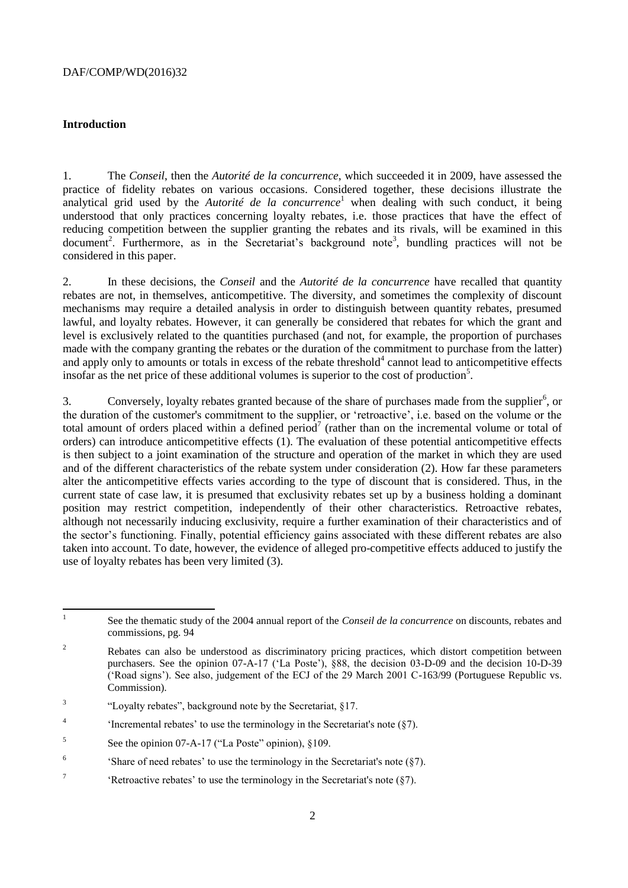#### **Introduction**

1. The *Conseil*, then the *Autorité de la concurrence*, which succeeded it in 2009, have assessed the practice of fidelity rebates on various occasions. Considered together, these decisions illustrate the analytical grid used by the *Autorité de la concurrence*<sup>1</sup> when dealing with such conduct, it being understood that only practices concerning loyalty rebates, i.e. those practices that have the effect of reducing competition between the supplier granting the rebates and its rivals, will be examined in this document<sup>2</sup>. Furthermore, as in the Secretariat's background note<sup>3</sup>, bundling practices will not be considered in this paper.

2. In these decisions, the *Conseil* and the *Autorité de la concurrence* have recalled that quantity rebates are not, in themselves, anticompetitive. The diversity, and sometimes the complexity of discount mechanisms may require a detailed analysis in order to distinguish between quantity rebates, presumed lawful, and loyalty rebates. However, it can generally be considered that rebates for which the grant and level is exclusively related to the quantities purchased (and not, for example, the proportion of purchases made with the company granting the rebates or the duration of the commitment to purchase from the latter) and apply only to amounts or totals in excess of the rebate threshold<sup>4</sup> cannot lead to anticompetitive effects insofar as the net price of these additional volumes is superior to the cost of production<sup>5</sup>.

3. Conversely, loyalty rebates granted because of the share of purchases made from the supplier<sup>6</sup>, or the duration of the customer's commitment to the supplier, or 'retroactive', i.e. based on the volume or the total amount of orders placed within a defined period<sup>7</sup> (rather than on the incremental volume or total of orders) can introduce anticompetitive effects (1). The evaluation of these potential anticompetitive effects is then subject to a joint examination of the structure and operation of the market in which they are used and of the different characteristics of the rebate system under consideration (2). How far these parameters alter the anticompetitive effects varies according to the type of discount that is considered. Thus, in the current state of case law, it is presumed that exclusivity rebates set up by a business holding a dominant position may restrict competition, independently of their other characteristics. Retroactive rebates, although not necessarily inducing exclusivity, require a further examination of their characteristics and of the sector's functioning. Finally, potential efficiency gains associated with these different rebates are also taken into account. To date, however, the evidence of alleged pro-competitive effects adduced to justify the use of loyalty rebates has been very limited (3).

- $\overline{3}$ "Loyalty rebates", background note by the Secretariat, §17.
- 4 'Incremental rebates' to use the terminology in the Secretariat's note (§7).
- 5 See the opinion 07-A-17 ("La Poste" opinion), §109.
- 6 'Share of need rebates' to use the terminology in the Secretariat's note (§7).
- 7 'Retroactive rebates' to use the terminology in the Secretariat's note (§7).

 $\frac{1}{1}$ See the thematic study of the 2004 annual report of the *Conseil de la concurrence* on discounts, rebates and commissions, pg. 94

<sup>&</sup>lt;sup>2</sup> Rebates can also be understood as discriminatory pricing practices, which distort competition between purchasers. See the opinion 07-A-17 ('La Poste'), §88, the decision 03-D-09 and the decision 10-D-39 ('Road signs'). See also, judgement of the ECJ of the 29 March 2001 C-163/99 (Portuguese Republic vs. Commission).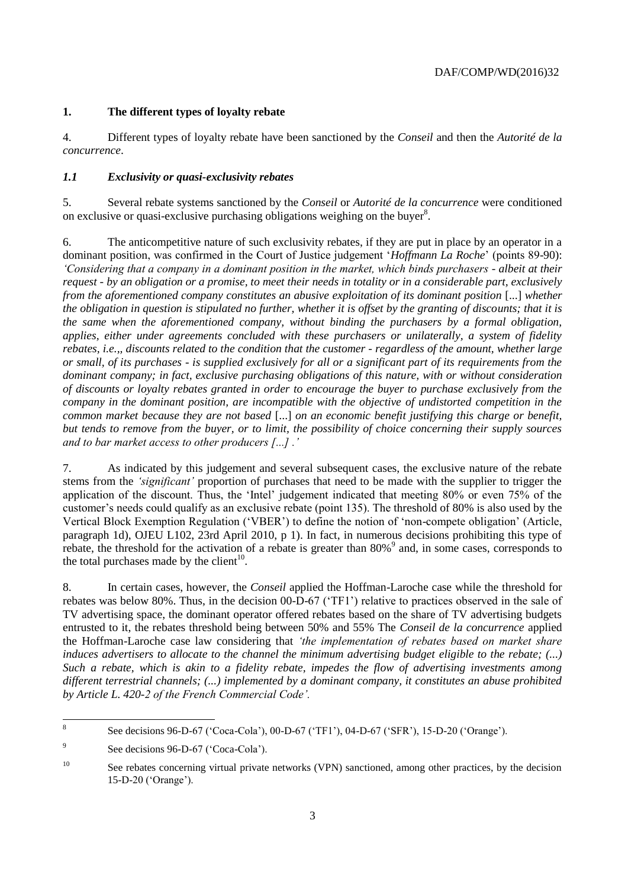## **1. The different types of loyalty rebate**

4. Different types of loyalty rebate have been sanctioned by the *Conseil* and then the *Autorité de la concurrence*.

## *1.1 Exclusivity or quasi-exclusivity rebates*

5. Several rebate systems sanctioned by the *Conseil* or *Autorité de la concurrence* were conditioned on exclusive or quasi-exclusive purchasing obligations weighing on the buyer<sup>8</sup>.

6. The anticompetitive nature of such exclusivity rebates, if they are put in place by an operator in a dominant position, was confirmed in the Court of Justice judgement '*Hoffmann La Roche*' (points 89-90): *'Considering that a company in a dominant position in the market, which binds purchasers - albeit at their request - by an obligation or a promise, to meet their needs in totality or in a considerable part, exclusively from the aforementioned company constitutes an abusive exploitation of its dominant position* [...] *whether the obligation in question is stipulated no further, whether it is offset by the granting of discounts; that it is the same when the aforementioned company, without binding the purchasers by a formal obligation, applies, either under agreements concluded with these purchasers or unilaterally, a system of fidelity rebates, i.e.,, discounts related to the condition that the customer - regardless of the amount, whether large or small, of its purchases - is supplied exclusively for all or a significant part of its requirements from the dominant company; in fact, exclusive purchasing obligations of this nature, with or without consideration of discounts or loyalty rebates granted in order to encourage the buyer to purchase exclusively from the company in the dominant position, are incompatible with the objective of undistorted competition in the common market because they are not based* [...] *on an economic benefit justifying this charge or benefit, but tends to remove from the buyer, or to limit, the possibility of choice concerning their supply sources and to bar market access to other producers [...] .'* 

7. As indicated by this judgement and several subsequent cases, the exclusive nature of the rebate stems from the *'significant'* proportion of purchases that need to be made with the supplier to trigger the application of the discount. Thus, the 'Intel' judgement indicated that meeting 80% or even 75% of the customer's needs could qualify as an exclusive rebate (point 135). The threshold of 80% is also used by the Vertical Block Exemption Regulation ('VBER') to define the notion of 'non-compete obligation' (Article, paragraph 1d), OJEU L102, 23rd April 2010, p 1). In fact, in numerous decisions prohibiting this type of rebate, the threshold for the activation of a rebate is greater than 80%<sup>9</sup> and, in some cases, corresponds to the total purchases made by the client $10$ .

8. In certain cases, however, the *Conseil* applied the Hoffman-Laroche case while the threshold for rebates was below 80%. Thus, in the decision 00-D-67 ('TF1') relative to practices observed in the sale of TV advertising space, the dominant operator offered rebates based on the share of TV advertising budgets entrusted to it, the rebates threshold being between 50% and 55% The *Conseil de la concurrence* applied the Hoffman-Laroche case law considering that *'the implementation of rebates based on market share induces advertisers to allocate to the channel the minimum advertising budget eligible to the rebate; (...) Such a rebate, which is akin to a fidelity rebate, impedes the flow of advertising investments among different terrestrial channels; (...) implemented by a dominant company, it constitutes an abuse prohibited by Article L. 420-2 of the French Commercial Code'.* 

 8 See decisions 96-D-67 ('Coca-Cola'), 00-D-67 ('TF1'), 04-D-67 ('SFR'), 15-D-20 ('Orange').

<sup>9</sup> See decisions 96-D-67 ('Coca-Cola').

<sup>&</sup>lt;sup>10</sup> See rebates concerning virtual private networks (VPN) sanctioned, among other practices, by the decision 15-D-20 ('Orange').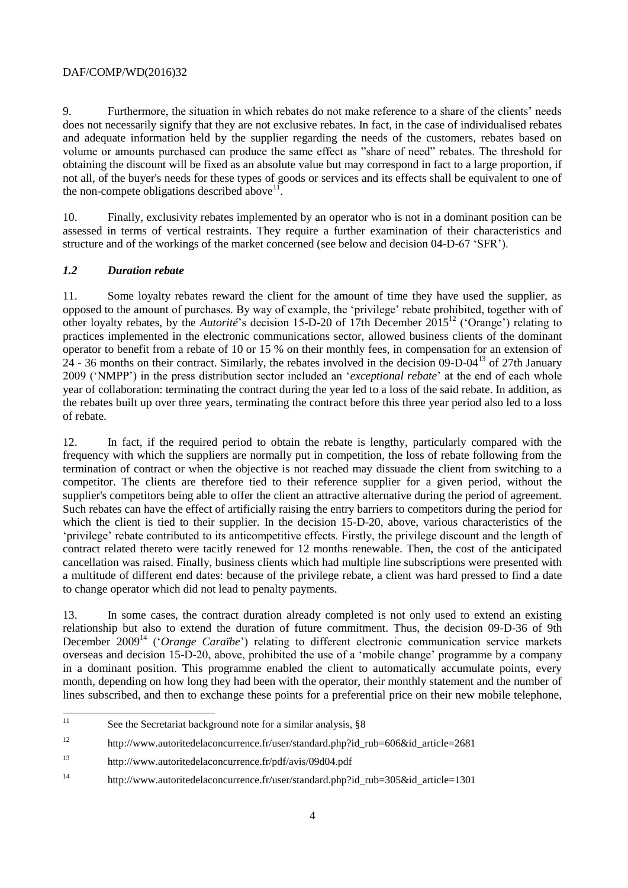9. Furthermore, the situation in which rebates do not make reference to a share of the clients' needs does not necessarily signify that they are not exclusive rebates. In fact, in the case of individualised rebates and adequate information held by the supplier regarding the needs of the customers, rebates based on volume or amounts purchased can produce the same effect as "share of need" rebates. The threshold for obtaining the discount will be fixed as an absolute value but may correspond in fact to a large proportion, if not all, of the buyer's needs for these types of goods or services and its effects shall be equivalent to one of the non-compete obligations described above<sup>11</sup>.

10. Finally, exclusivity rebates implemented by an operator who is not in a dominant position can be assessed in terms of vertical restraints. They require a further examination of their characteristics and structure and of the workings of the market concerned (see below and decision 04-D-67 'SFR').

## *1.2 Duration rebate*

11. Some loyalty rebates reward the client for the amount of time they have used the supplier, as opposed to the amount of purchases. By way of example, the 'privilege' rebate prohibited, together with of other loyalty rebates, by the *Autorité*'s decision 15-D-20 of 17th December 2015<sup>12</sup> ('Orange') relating to practices implemented in the electronic communications sector, allowed business clients of the dominant operator to benefit from a rebate of 10 or 15 % on their monthly fees, in compensation for an extension of 24 - 36 months on their contract. Similarly, the rebates involved in the decision 09-D-04<sup>13</sup> of 27th January 2009 ('NMPP') in the press distribution sector included an '*exceptional rebate*' at the end of each whole year of collaboration: terminating the contract during the year led to a loss of the said rebate. In addition, as the rebates built up over three years, terminating the contract before this three year period also led to a loss of rebate.

12. In fact, if the required period to obtain the rebate is lengthy, particularly compared with the frequency with which the suppliers are normally put in competition, the loss of rebate following from the termination of contract or when the objective is not reached may dissuade the client from switching to a competitor. The clients are therefore tied to their reference supplier for a given period, without the supplier's competitors being able to offer the client an attractive alternative during the period of agreement. Such rebates can have the effect of artificially raising the entry barriers to competitors during the period for which the client is tied to their supplier. In the decision 15-D-20, above, various characteristics of the 'privilege' rebate contributed to its anticompetitive effects. Firstly, the privilege discount and the length of contract related thereto were tacitly renewed for 12 months renewable. Then, the cost of the anticipated cancellation was raised. Finally, business clients which had multiple line subscriptions were presented with a multitude of different end dates: because of the privilege rebate, a client was hard pressed to find a date to change operator which did not lead to penalty payments.

13. In some cases, the contract duration already completed is not only used to extend an existing relationship but also to extend the duration of future commitment. Thus, the decision 09-D-36 of 9th December 2009<sup>14</sup> ('*Orange Caraïbe*') relating to different electronic communication service markets overseas and decision 15-D-20, above, prohibited the use of a 'mobile change' programme by a company in a dominant position. This programme enabled the client to automatically accumulate points, every month, depending on how long they had been with the operator, their monthly statement and the number of lines subscribed, and then to exchange these points for a preferential price on their new mobile telephone,

 $\overline{11}$ See the Secretariat background note for a similar analysis, §8

<sup>12</sup> http://www.autoritedelaconcurrence.fr/user/standard.php?id\_rub=606&id\_article=2681

<sup>13</sup> <http://www.autoritedelaconcurrence.fr/pdf/avis/09d04.pdf>

<sup>&</sup>lt;sup>14</sup> http://www.autoritedelaconcurrence.fr/user/standard.php?id\_rub=305&id\_article=1301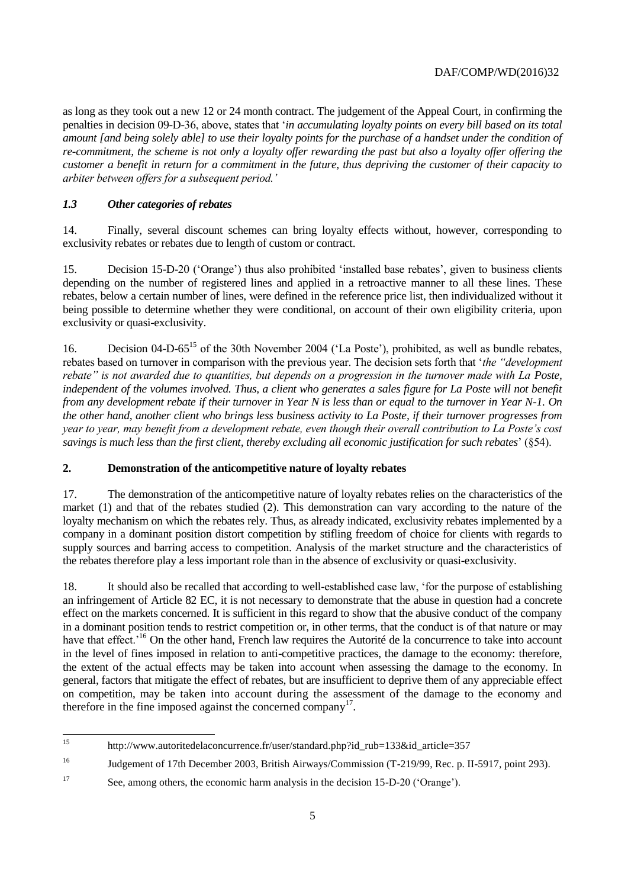as long as they took out a new 12 or 24 month contract. The judgement of the Appeal Court, in confirming the penalties in decision 09-D-36, above, states that '*in accumulating loyalty points on every bill based on its total amount [and being solely able] to use their loyalty points for the purchase of a handset under the condition of re-commitment, the scheme is not only a loyalty offer rewarding the past but also a loyalty offer offering the customer a benefit in return for a commitment in the future, thus depriving the customer of their capacity to arbiter between offers for a subsequent period.'* 

## *1.3 Other categories of rebates*

14. Finally, several discount schemes can bring loyalty effects without, however, corresponding to exclusivity rebates or rebates due to length of custom or contract.

15. Decision 15-D-20 ('Orange') thus also prohibited 'installed base rebates', given to business clients depending on the number of registered lines and applied in a retroactive manner to all these lines. These rebates, below a certain number of lines, were defined in the reference price list, then individualized without it being possible to determine whether they were conditional, on account of their own eligibility criteria, upon exclusivity or quasi-exclusivity.

16. Decision 04-D-65<sup>15</sup> of the 30th November 2004 ('La Poste'), prohibited, as well as bundle rebates, rebates based on turnover in comparison with the previous year. The decision sets forth that '*the "development rebate" is not awarded due to quantities, but depends on a progression in the turnover made with La Poste, independent of the volumes involved. Thus, a client who generates a sales figure for La Poste will not benefit from any development rebate if their turnover in Year N is less than or equal to the turnover in Year N-1. On the other hand, another client who brings less business activity to La Poste, if their turnover progresses from year to year, may benefit from a development rebate, even though their overall contribution to La Poste's cost savings is much less than the first client, thereby excluding all economic justification for such rebates*' (§54).

## **2. Demonstration of the anticompetitive nature of loyalty rebates**

17. The demonstration of the anticompetitive nature of loyalty rebates relies on the characteristics of the market (1) and that of the rebates studied (2). This demonstration can vary according to the nature of the loyalty mechanism on which the rebates rely. Thus, as already indicated, exclusivity rebates implemented by a company in a dominant position distort competition by stifling freedom of choice for clients with regards to supply sources and barring access to competition. Analysis of the market structure and the characteristics of the rebates therefore play a less important role than in the absence of exclusivity or quasi-exclusivity.

18. It should also be recalled that according to well-established case law, 'for the purpose of establishing an infringement of Article 82 EC, it is not necessary to demonstrate that the abuse in question had a concrete effect on the markets concerned. It is sufficient in this regard to show that the abusive conduct of the company in a dominant position tends to restrict competition or, in other terms, that the conduct is of that nature or may have that effect.<sup>16</sup> On the other hand, French law requires the Autorité de la concurrence to take into account in the level of fines imposed in relation to anti-competitive practices, the damage to the economy: therefore, the extent of the actual effects may be taken into account when assessing the damage to the economy. In general, factors that mitigate the effect of rebates, but are insufficient to deprive them of any appreciable effect on competition, may be taken into account during the assessment of the damage to the economy and therefore in the fine imposed against the concerned company<sup>17</sup>.

 $15$ http://www.autoritedelaconcurrence.fr/user/standard.php?id\_rub=133&id\_article=357

<sup>16</sup> Judgement of 17th December 2003, British Airways/Commission (T-219/99, Rec. p. II-5917, point 293).

<sup>17</sup> See, among others, the economic harm analysis in the decision 15-D-20 ('Orange').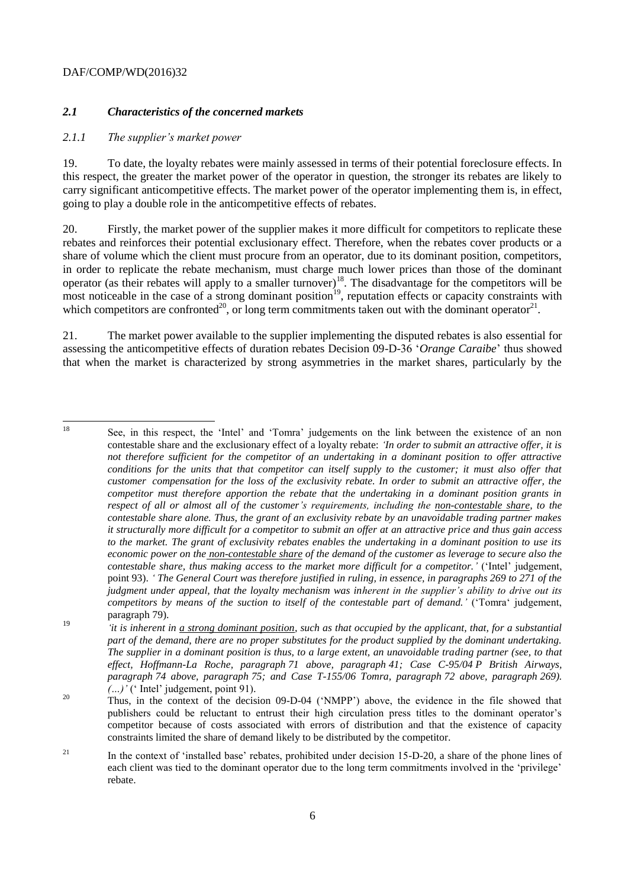## *2.1 Characteristics of the concerned markets*

#### *2.1.1 The supplier's market power*

19. To date, the loyalty rebates were mainly assessed in terms of their potential foreclosure effects. In this respect, the greater the market power of the operator in question, the stronger its rebates are likely to carry significant anticompetitive effects. The market power of the operator implementing them is, in effect, going to play a double role in the anticompetitive effects of rebates.

20. Firstly, the market power of the supplier makes it more difficult for competitors to replicate these rebates and reinforces their potential exclusionary effect. Therefore, when the rebates cover products or a share of volume which the client must procure from an operator, due to its dominant position, competitors, in order to replicate the rebate mechanism, must charge much lower prices than those of the dominant operator (as their rebates will apply to a smaller turnover)<sup>18</sup>. The disadvantage for the competitors will be most noticeable in the case of a strong dominant position<sup>19</sup>, reputation effects or capacity constraints with which competitors are confronted<sup>20</sup>, or long term commitments taken out with the dominant operator<sup>21</sup>.

21. The market power available to the supplier implementing the disputed rebates is also essential for assessing the anticompetitive effects of duration rebates Decision 09-D-36 '*Orange Caraibe*' thus showed that when the market is characterized by strong asymmetries in the market shares, particularly by the

18

<sup>18</sup> See, in this respect, the 'Intel' and 'Tomra' judgements on the link between the existence of an non contestable share and the exclusionary effect of a loyalty rebate: *'In order to submit an attractive offer, it is not therefore sufficient for the competitor of an undertaking in a dominant position to offer attractive conditions for the units that that competitor can itself supply to the customer; it must also offer that customer compensation for the loss of the exclusivity rebate. In order to submit an attractive offer, the competitor must therefore apportion the rebate that the undertaking in a dominant position grants in respect of all or almost all of the customer's requirements, including the non-contestable share, to the contestable share alone. Thus, the grant of an exclusivity rebate by an unavoidable trading partner makes it structurally more difficult for a competitor to submit an offer at an attractive price and thus gain access to the market. The grant of exclusivity rebates enables the undertaking in a dominant position to use its economic power on the non-contestable share of the demand of the customer as leverage to secure also the contestable share, thus making access to the market more difficult for a competitor.'* ('Intel' judgement, point 93). *' The General Court was therefore justified in ruling, in essence, in paragraphs 269 to 271 of the judgment under appeal, that the loyalty mechanism was inherent in the supplier's ability to drive out its competitors by means of the suction to itself of the contestable part of demand.'* ('Tomra' judgement, paragraph 79).

<sup>19</sup> *'it is inherent in a strong dominant position, such as that occupied by the applicant, that, for a substantial part of the demand, there are no proper substitutes for the product supplied by the dominant undertaking. The supplier in a dominant position is thus, to a large extent, an unavoidable trading partner (see, to that effect, Hoffmann-La Roche, paragraph 71 above, paragraph 41; Case C-95/04 P British Airways, paragraph 74 above, paragraph 75; and Case T-155/06 Tomra, paragraph 72 above, paragraph 269). (…)'* (' Intel' judgement, point 91)*.* 

<sup>&</sup>lt;sup>20</sup> Thus, in the context of the decision 09-D-04 ('NMPP') above, the evidence in the file showed that publishers could be reluctant to entrust their high circulation press titles to the dominant operator's competitor because of costs associated with errors of distribution and that the existence of capacity constraints limited the share of demand likely to be distributed by the competitor.

<sup>&</sup>lt;sup>21</sup> In the context of 'installed base' rebates, prohibited under decision 15-D-20, a share of the phone lines of each client was tied to the dominant operator due to the long term commitments involved in the 'privilege' rebate.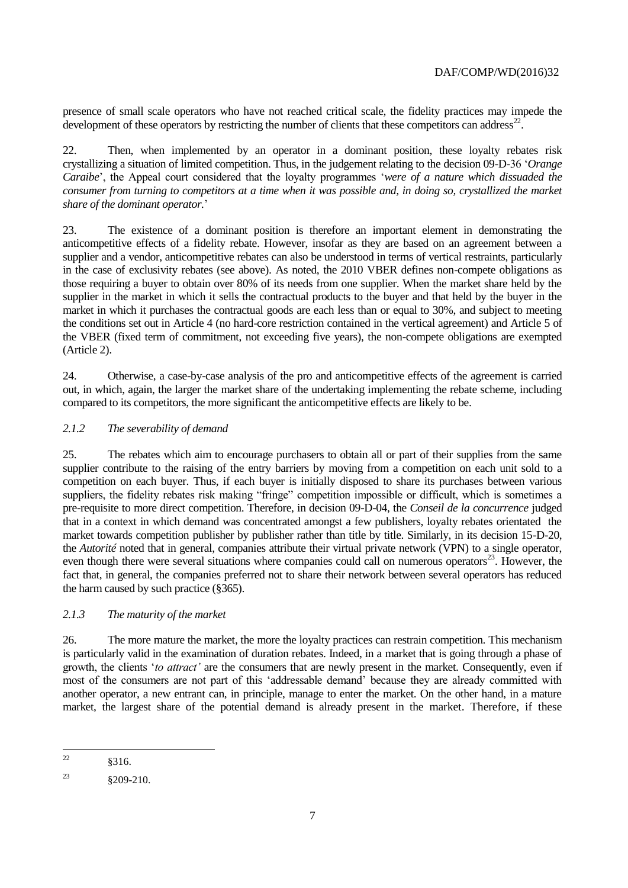presence of small scale operators who have not reached critical scale, the fidelity practices may impede the development of these operators by restricting the number of clients that these competitors can address<sup>22</sup>.

22. Then, when implemented by an operator in a dominant position, these loyalty rebates risk crystallizing a situation of limited competition. Thus, in the judgement relating to the decision 09-D-36 '*Orange Caraibe*', the Appeal court considered that the loyalty programmes '*were of a nature which dissuaded the consumer from turning to competitors at a time when it was possible and, in doing so, crystallized the market share of the dominant operator.*'

23. The existence of a dominant position is therefore an important element in demonstrating the anticompetitive effects of a fidelity rebate. However, insofar as they are based on an agreement between a supplier and a vendor, anticompetitive rebates can also be understood in terms of vertical restraints, particularly in the case of exclusivity rebates (see above). As noted, the 2010 VBER defines non-compete obligations as those requiring a buyer to obtain over 80% of its needs from one supplier. When the market share held by the supplier in the market in which it sells the contractual products to the buyer and that held by the buyer in the market in which it purchases the contractual goods are each less than or equal to 30%, and subject to meeting the conditions set out in Article 4 (no hard-core restriction contained in the vertical agreement) and Article 5 of the VBER (fixed term of commitment, not exceeding five years), the non-compete obligations are exempted (Article 2).

24. Otherwise, a case-by-case analysis of the pro and anticompetitive effects of the agreement is carried out, in which, again, the larger the market share of the undertaking implementing the rebate scheme, including compared to its competitors, the more significant the anticompetitive effects are likely to be.

# *2.1.2 The severability of demand*

25. The rebates which aim to encourage purchasers to obtain all or part of their supplies from the same supplier contribute to the raising of the entry barriers by moving from a competition on each unit sold to a competition on each buyer. Thus, if each buyer is initially disposed to share its purchases between various suppliers, the fidelity rebates risk making "fringe" competition impossible or difficult, which is sometimes a pre-requisite to more direct competition. Therefore, in decision 09-D-04, the *Conseil de la concurrence* judged that in a context in which demand was concentrated amongst a few publishers, loyalty rebates orientated the market towards competition publisher by publisher rather than title by title. Similarly, in its decision 15-D-20, the *Autorité* noted that in general, companies attribute their virtual private network (VPN) to a single operator, even though there were several situations where companies could call on numerous operators $^{23}$ . However, the fact that, in general, the companies preferred not to share their network between several operators has reduced the harm caused by such practice (§365).

# *2.1.3 The maturity of the market*

26. The more mature the market, the more the loyalty practices can restrain competition. This mechanism is particularly valid in the examination of duration rebates. Indeed, in a market that is going through a phase of growth, the clients '*to attract'* are the consumers that are newly present in the market. Consequently, even if most of the consumers are not part of this 'addressable demand' because they are already committed with another operator, a new entrant can, in principle, manage to enter the market. On the other hand, in a mature market, the largest share of the potential demand is already present in the market. Therefore, if these

 $22$ <sup>22</sup> §316.

<sup>&</sup>lt;sup>23</sup>  $\&209-210.$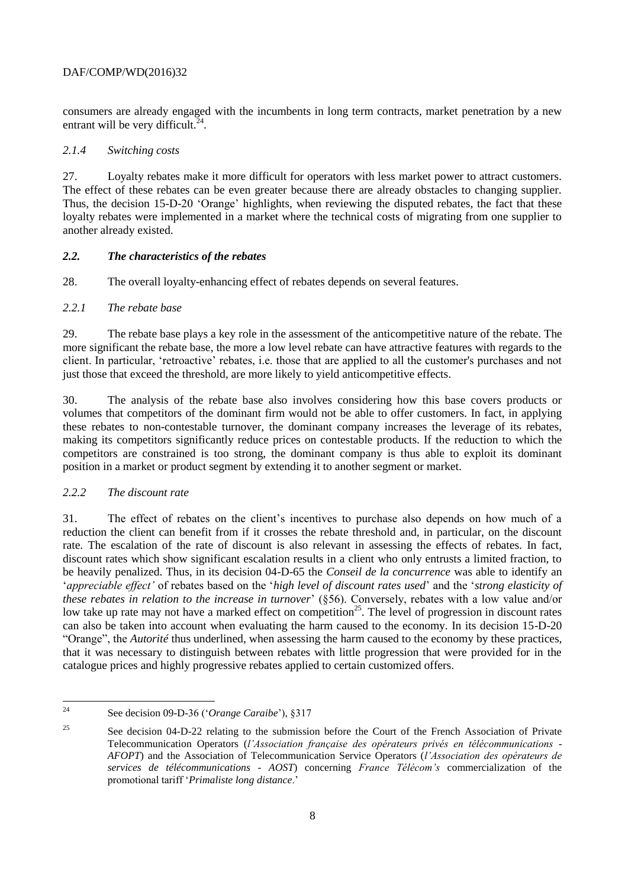consumers are already engaged with the incumbents in long term contracts, market penetration by a new entrant will be very difficult.<sup>24</sup>.

## *2.1.4 Switching costs*

27. Loyalty rebates make it more difficult for operators with less market power to attract customers. The effect of these rebates can be even greater because there are already obstacles to changing supplier. Thus, the decision 15-D-20 'Orange' highlights, when reviewing the disputed rebates, the fact that these loyalty rebates were implemented in a market where the technical costs of migrating from one supplier to another already existed.

## *2.2. The characteristics of the rebates*

28. The overall loyalty-enhancing effect of rebates depends on several features.

## *2.2.1 The rebate base*

29. The rebate base plays a key role in the assessment of the anticompetitive nature of the rebate. The more significant the rebate base, the more a low level rebate can have attractive features with regards to the client. In particular, 'retroactive' rebates, i.e. those that are applied to all the customer's purchases and not just those that exceed the threshold, are more likely to yield anticompetitive effects.

30. The analysis of the rebate base also involves considering how this base covers products or volumes that competitors of the dominant firm would not be able to offer customers. In fact, in applying these rebates to non-contestable turnover, the dominant company increases the leverage of its rebates, making its competitors significantly reduce prices on contestable products. If the reduction to which the competitors are constrained is too strong, the dominant company is thus able to exploit its dominant position in a market or product segment by extending it to another segment or market.

# *2.2.2 The discount rate*

31. The effect of rebates on the client's incentives to purchase also depends on how much of a reduction the client can benefit from if it crosses the rebate threshold and, in particular, on the discount rate. The escalation of the rate of discount is also relevant in assessing the effects of rebates. In fact, discount rates which show significant escalation results in a client who only entrusts a limited fraction, to be heavily penalized. Thus, in its decision 04-D-65 the *Conseil de la concurrence* was able to identify an '*appreciable effect'* of rebates based on the '*high level of discount rates used*' and the '*strong elasticity of these rebates in relation to the increase in turnover*' (§56). Conversely, rebates with a low value and/or low take up rate may not have a marked effect on competition<sup>25</sup>. The level of progression in discount rates can also be taken into account when evaluating the harm caused to the economy. In its decision 15-D-20 "Orange", the *Autorité* thus underlined, when assessing the harm caused to the economy by these practices, that it was necessary to distinguish between rebates with little progression that were provided for in the catalogue prices and highly progressive rebates applied to certain customized offers.

 $24$ See decision 09-D-36 ('Orange Caraibe'), §317

<sup>&</sup>lt;sup>25</sup> See decision 04-D-22 relating to the submission before the Court of the French Association of Private Telecommunication Operators (*l'Association française des opérateurs privés en télécommunications - AFOPT*) and the Association of Telecommunication Service Operators (*l'Association des opérateurs de services de télécommunications - AOST*) concerning *France Télécom's* commercialization of the promotional tariff '*Primaliste long distance*.'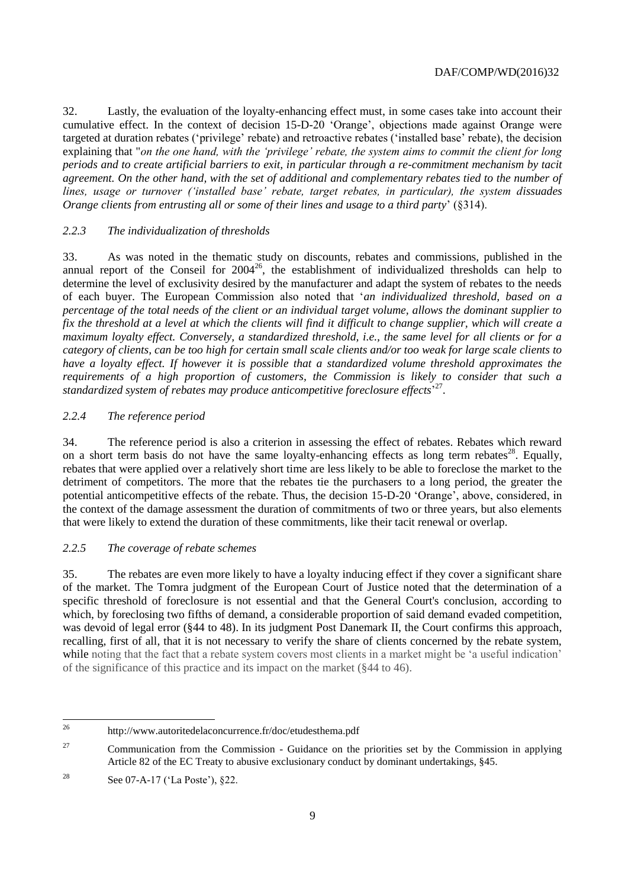32. Lastly, the evaluation of the loyalty-enhancing effect must, in some cases take into account their cumulative effect. In the context of decision 15-D-20 'Orange', objections made against Orange were targeted at duration rebates ('privilege' rebate) and retroactive rebates ('installed base' rebate), the decision explaining that "*on the one hand, with the 'privilege' rebate, the system aims to commit the client for long periods and to create artificial barriers to exit, in particular through a re-commitment mechanism by tacit agreement. On the other hand, with the set of additional and complementary rebates tied to the number of lines, usage or turnover ('installed base' rebate, target rebates, in particular), the system dissuades Orange clients from entrusting all or some of their lines and usage to a third party*' (§314).

## *2.2.3 The individualization of thresholds*

33. As was noted in the thematic study on discounts, rebates and commissions, published in the annual report of the Conseil for  $2004^{26}$ , the establishment of individualized thresholds can help to determine the level of exclusivity desired by the manufacturer and adapt the system of rebates to the needs of each buyer. The European Commission also noted that '*an individualized threshold, based on a percentage of the total needs of the client or an individual target volume, allows the dominant supplier to fix the threshold at a level at which the clients will find it difficult to change supplier, which will create a maximum loyalty effect. Conversely, a standardized threshold, i.e., the same level for all clients or for a category of clients, can be too high for certain small scale clients and/or too weak for large scale clients to have a loyalty effect. If however it is possible that a standardized volume threshold approximates the requirements of a high proportion of customers, the Commission is likely to consider that such a standardized system of rebates may produce anticompetitive foreclosure effects*' 27 .

## *2.2.4 The reference period*

34. The reference period is also a criterion in assessing the effect of rebates. Rebates which reward on a short term basis do not have the same loyalty-enhancing effects as long term rebates<sup>28</sup>. Equally, rebates that were applied over a relatively short time are less likely to be able to foreclose the market to the detriment of competitors. The more that the rebates tie the purchasers to a long period, the greater the potential anticompetitive effects of the rebate. Thus, the decision 15-D-20 'Orange', above, considered, in the context of the damage assessment the duration of commitments of two or three years, but also elements that were likely to extend the duration of these commitments, like their tacit renewal or overlap.

# *2.2.5 The coverage of rebate schemes*

35. The rebates are even more likely to have a loyalty inducing effect if they cover a significant share of the market. The Tomra judgment of the European Court of Justice noted that the determination of a specific threshold of foreclosure is not essential and that the General Court's conclusion, according to which, by foreclosing two fifths of demand, a considerable proportion of said demand evaded competition, was devoid of legal error (§44 to 48). In its judgment Post Danemark II, the Court confirms this approach, recalling, first of all, that it is not necessary to verify the share of clients concerned by the rebate system, while noting that the fact that a rebate system covers most clients in a market might be 'a useful indication' of the significance of this practice and its impact on the market (§44 to 46).

<sup>26</sup> <sup>26</sup> http://www.autoritedelaconcurrence.fr/doc/etudesthema.pdf

<sup>&</sup>lt;sup>27</sup> Communication from the Commission - Guidance on the priorities set by the Commission in applying Article 82 of the EC Treaty to abusive exclusionary conduct by dominant undertakings, §45.

<sup>&</sup>lt;sup>28</sup> See 07-A-17 ('La Poste'),  $§22$ .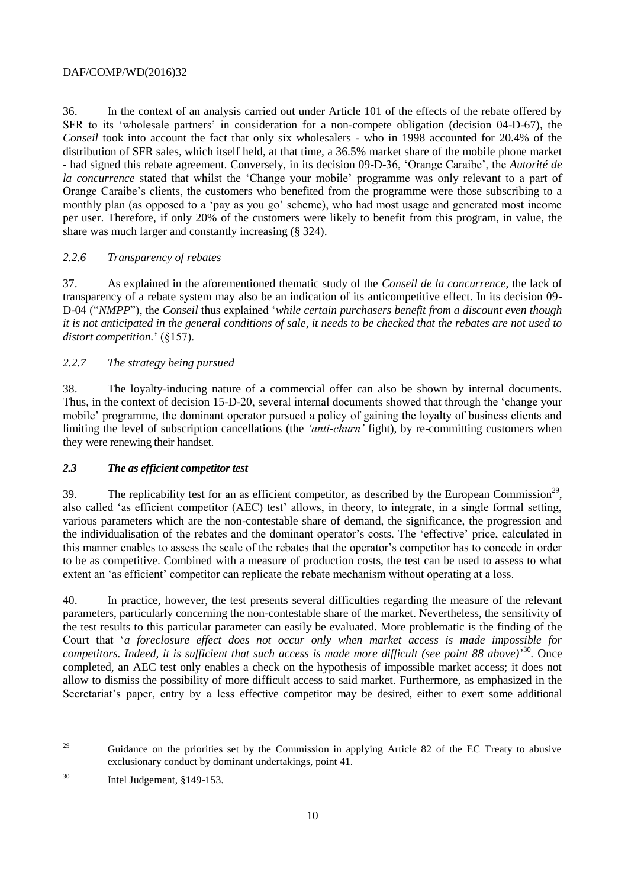36. In the context of an analysis carried out under Article 101 of the effects of the rebate offered by SFR to its 'wholesale partners' in consideration for a non-compete obligation (decision 04-D-67), the *Conseil* took into account the fact that only six wholesalers - who in 1998 accounted for 20.4% of the distribution of SFR sales, which itself held, at that time, a 36.5% market share of the mobile phone market - had signed this rebate agreement. Conversely, in its decision 09-D-36, 'Orange Caraibe', the *Autorité de la concurrence* stated that whilst the 'Change your mobile' programme was only relevant to a part of Orange Caraibe's clients, the customers who benefited from the programme were those subscribing to a monthly plan (as opposed to a 'pay as you go' scheme), who had most usage and generated most income per user. Therefore, if only 20% of the customers were likely to benefit from this program, in value, the share was much larger and constantly increasing (§ 324).

## *2.2.6 Transparency of rebates*

37. As explained in the aforementioned thematic study of the *Conseil de la concurrence*, the lack of transparency of a rebate system may also be an indication of its anticompetitive effect. In its decision 09- D-04 ("*NMPP*"), the *Conseil* thus explained '*while certain purchasers benefit from a discount even though it is not anticipated in the general conditions of sale, it needs to be checked that the rebates are not used to distort competition.*' (§157).

## *2.2.7 The strategy being pursued*

38. The loyalty-inducing nature of a commercial offer can also be shown by internal documents. Thus, in the context of decision 15-D-20, several internal documents showed that through the 'change your mobile' programme, the dominant operator pursued a policy of gaining the loyalty of business clients and limiting the level of subscription cancellations (the *'anti-churn'* fight), by re-committing customers when they were renewing their handset.

## *2.3 The as efficient competitor test*

39. The replicability test for an as efficient competitor, as described by the European Commission<sup>29</sup>, also called 'as efficient competitor (AEC) test' allows, in theory, to integrate, in a single formal setting, various parameters which are the non-contestable share of demand, the significance, the progression and the individualisation of the rebates and the dominant operator's costs. The 'effective' price, calculated in this manner enables to assess the scale of the rebates that the operator's competitor has to concede in order to be as competitive. Combined with a measure of production costs, the test can be used to assess to what extent an 'as efficient' competitor can replicate the rebate mechanism without operating at a loss.

40. In practice, however, the test presents several difficulties regarding the measure of the relevant parameters, particularly concerning the non-contestable share of the market. Nevertheless, the sensitivity of the test results to this particular parameter can easily be evaluated. More problematic is the finding of the Court that '*a foreclosure effect does not occur only when market access is made impossible for*  competitors. Indeed, it is sufficient that such access is made more difficult (see point 88 above)<sup>30</sup>. Once completed, an AEC test only enables a check on the hypothesis of impossible market access; it does not allow to dismiss the possibility of more difficult access to said market. Furthermore, as emphasized in the Secretariat's paper, entry by a less effective competitor may be desired, either to exert some additional

<sup>29</sup> <sup>29</sup> Guidance on the priorities set by the Commission in applying Article 82 of the EC Treaty to abusive exclusionary conduct by dominant undertakings, point 41.

 $30$  Intel Judgement, §149-153.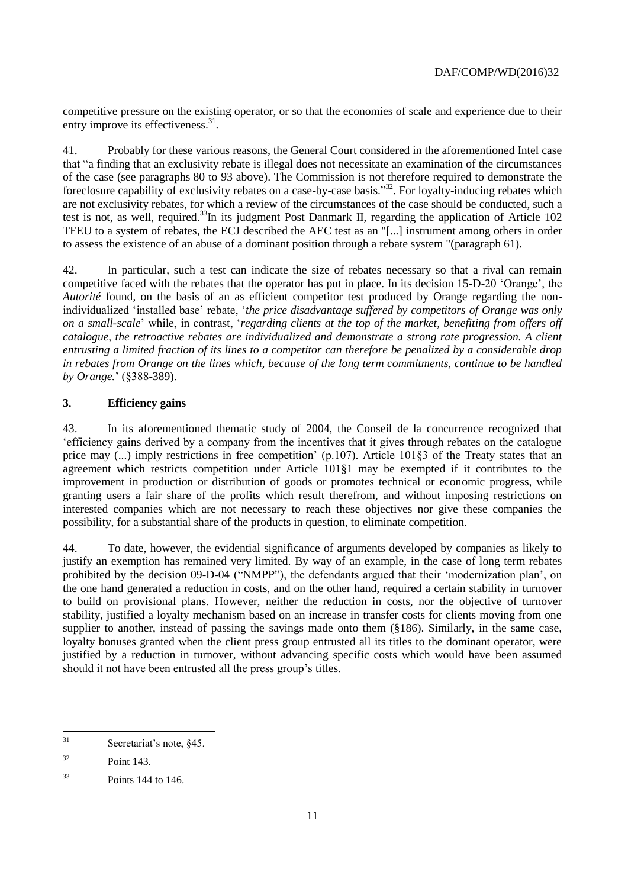competitive pressure on the existing operator, or so that the economies of scale and experience due to their entry improve its effectiveness.<sup>31</sup>.

41. Probably for these various reasons, the General Court considered in the aforementioned Intel case that "a finding that an exclusivity rebate is illegal does not necessitate an examination of the circumstances of the case (see paragraphs 80 to 93 above). The Commission is not therefore required to demonstrate the foreclosure capability of exclusivity rebates on a case-by-case basis."<sup>32</sup>. For loyalty-inducing rebates which are not exclusivity rebates, for which a review of the circumstances of the case should be conducted, such a test is not, as well, required.<sup>33</sup>In its judgment Post Danmark II, regarding the application of Article 102 TFEU to a system of rebates, the ECJ described the AEC test as an "[...] instrument among others in order to assess the existence of an abuse of a dominant position through a rebate system "(paragraph 61).

42. In particular, such a test can indicate the size of rebates necessary so that a rival can remain competitive faced with the rebates that the operator has put in place. In its decision 15-D-20 'Orange', the *Autorité* found, on the basis of an as efficient competitor test produced by Orange regarding the nonindividualized 'installed base' rebate, '*the price disadvantage suffered by competitors of Orange was only on a small-scale*' while, in contrast, '*regarding clients at the top of the market, benefiting from offers off catalogue, the retroactive rebates are individualized and demonstrate a strong rate progression. A client entrusting a limited fraction of its lines to a competitor can therefore be penalized by a considerable drop in rebates from Orange on the lines which, because of the long term commitments, continue to be handled by Orange.*' (§388-389).

# **3. Efficiency gains**

43. In its aforementioned thematic study of 2004, the Conseil de la concurrence recognized that 'efficiency gains derived by a company from the incentives that it gives through rebates on the catalogue price may (...) imply restrictions in free competition' (p.107). Article 101§3 of the Treaty states that an agreement which restricts competition under Article 101§1 may be exempted if it contributes to the improvement in production or distribution of goods or promotes technical or economic progress, while granting users a fair share of the profits which result therefrom, and without imposing restrictions on interested companies which are not necessary to reach these objectives nor give these companies the possibility, for a substantial share of the products in question, to eliminate competition.

44. To date, however, the evidential significance of arguments developed by companies as likely to justify an exemption has remained very limited. By way of an example, in the case of long term rebates prohibited by the decision 09-D-04 ("NMPP"), the defendants argued that their 'modernization plan', on the one hand generated a reduction in costs, and on the other hand, required a certain stability in turnover to build on provisional plans. However, neither the reduction in costs, nor the objective of turnover stability, justified a loyalty mechanism based on an increase in transfer costs for clients moving from one supplier to another, instead of passing the savings made onto them (§186). Similarly, in the same case, loyalty bonuses granted when the client press group entrusted all its titles to the dominant operator, were justified by a reduction in turnover, without advancing specific costs which would have been assumed should it not have been entrusted all the press group's titles.

 $31$ Secretariat's note, §45.

<sup>32</sup> Point 143.

 $33$  Points 144 to 146.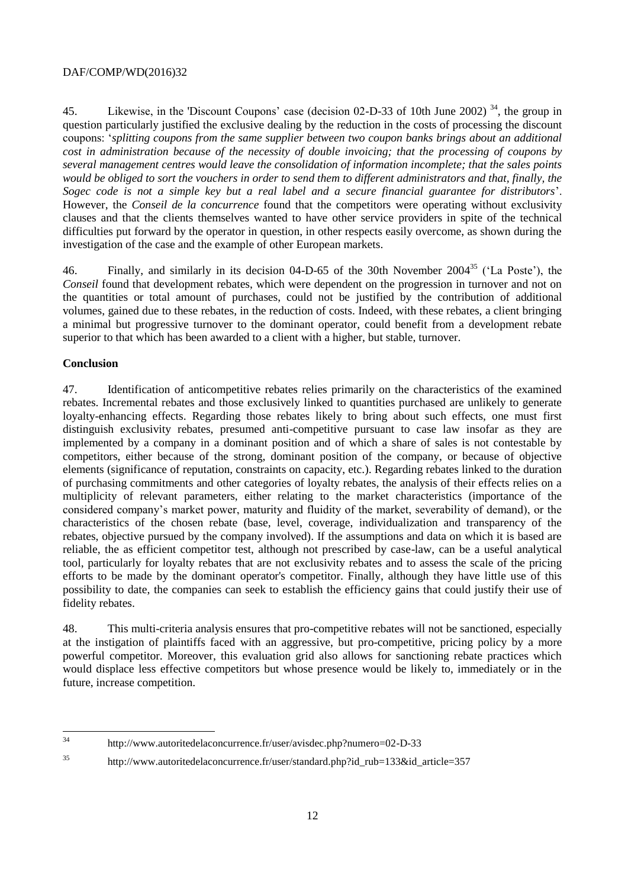45. Likewise, in the 'Discount Coupons' case (decision 02-D-33 of 10th June 2002)<sup>34</sup>, the group in question particularly justified the exclusive dealing by the reduction in the costs of processing the discount coupons: '*splitting coupons from the same supplier between two coupon banks brings about an additional cost in administration because of the necessity of double invoicing; that the processing of coupons by several management centres would leave the consolidation of information incomplete; that the sales points would be obliged to sort the vouchers in order to send them to different administrators and that, finally, the Sogec code is not a simple key but a real label and a secure financial guarantee for distributors*'. However, the *Conseil de la concurrence* found that the competitors were operating without exclusivity clauses and that the clients themselves wanted to have other service providers in spite of the technical difficulties put forward by the operator in question, in other respects easily overcome, as shown during the investigation of the case and the example of other European markets.

46. Finally, and similarly in its decision 04-D-65 of the 30th November 2004<sup>35</sup> ('La Poste'), the *Conseil* found that development rebates, which were dependent on the progression in turnover and not on the quantities or total amount of purchases, could not be justified by the contribution of additional volumes, gained due to these rebates, in the reduction of costs. Indeed, with these rebates, a client bringing a minimal but progressive turnover to the dominant operator, could benefit from a development rebate superior to that which has been awarded to a client with a higher, but stable, turnover.

## **Conclusion**

47. Identification of anticompetitive rebates relies primarily on the characteristics of the examined rebates. Incremental rebates and those exclusively linked to quantities purchased are unlikely to generate loyalty-enhancing effects. Regarding those rebates likely to bring about such effects, one must first distinguish exclusivity rebates, presumed anti-competitive pursuant to case law insofar as they are implemented by a company in a dominant position and of which a share of sales is not contestable by competitors, either because of the strong, dominant position of the company, or because of objective elements (significance of reputation, constraints on capacity, etc.). Regarding rebates linked to the duration of purchasing commitments and other categories of loyalty rebates, the analysis of their effects relies on a multiplicity of relevant parameters, either relating to the market characteristics (importance of the considered company's market power, maturity and fluidity of the market, severability of demand), or the characteristics of the chosen rebate (base, level, coverage, individualization and transparency of the rebates, objective pursued by the company involved). If the assumptions and data on which it is based are reliable, the as efficient competitor test, although not prescribed by case-law, can be a useful analytical tool, particularly for loyalty rebates that are not exclusivity rebates and to assess the scale of the pricing efforts to be made by the dominant operator's competitor. Finally, although they have little use of this possibility to date, the companies can seek to establish the efficiency gains that could justify their use of fidelity rebates.

48. This multi-criteria analysis ensures that pro-competitive rebates will not be sanctioned, especially at the instigation of plaintiffs faced with an aggressive, but pro-competitive, pricing policy by a more powerful competitor. Moreover, this evaluation grid also allows for sanctioning rebate practices which would displace less effective competitors but whose presence would be likely to, immediately or in the future, increase competition.

<sup>35</sup> [http://www.autoritedelaconcurrence.fr/user/standard.php?id\\_rub=133&id\\_article=357](http://www.autoritedelaconcurrence.fr/user/standard.php?id_rub=133&id_article=357)

 $34$ <sup>34</sup> http://www.autoritedelaconcurrence.fr/user/avisdec.php?numero=02-D-33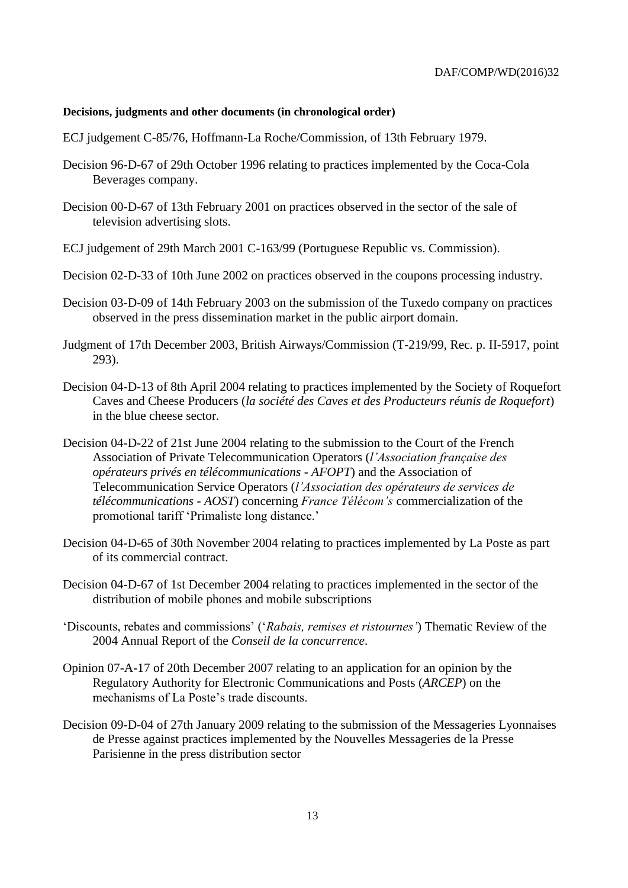#### **Decisions, judgments and other documents (in chronological order)**

- ECJ judgement C-85/76, Hoffmann-La Roche/Commission, of 13th February 1979.
- Decision 96-D-67 of 29th October 1996 relating to practices implemented by the Coca-Cola Beverages company.
- Decision 00-D-67 of 13th February 2001 on practices observed in the sector of the sale of television advertising slots.
- ECJ judgement of 29th March 2001 C-163/99 (Portuguese Republic vs. Commission).
- Decision 02-D-33 of 10th June 2002 on practices observed in the coupons processing industry.
- Decision 03-D-09 of 14th February 2003 on the submission of the Tuxedo company on practices observed in the press dissemination market in the public airport domain.
- Judgment of 17th December 2003, British Airways/Commission (T-219/99, Rec. p. II-5917, point 293).
- Decision 04-D-13 of 8th April 2004 relating to practices implemented by the Society of Roquefort Caves and Cheese Producers (*la société des Caves et des Producteurs réunis de Roquefort*) in the blue cheese sector.
- Decision 04-D-22 of 21st June 2004 relating to the submission to the Court of the French Association of Private Telecommunication Operators (*l'Association française des opérateurs privés en télécommunications - AFOPT*) and the Association of Telecommunication Service Operators (*l'Association des opérateurs de services de télécommunications - AOST*) concerning *France Télécom's* commercialization of the promotional tariff 'Primaliste long distance.'
- Decision 04-D-65 of 30th November 2004 relating to practices implemented by La Poste as part of its commercial contract.
- Decision 04-D-67 of 1st December 2004 relating to practices implemented in the sector of the distribution of mobile phones and mobile subscriptions
- 'Discounts, rebates and commissions' ('*Rabais, remises et ristournes'*) Thematic Review of the 2004 Annual Report of the *Conseil de la concurrence*.
- Opinion 07-A-17 of 20th December 2007 relating to an application for an opinion by the Regulatory Authority for Electronic Communications and Posts (*ARCEP*) on the mechanisms of La Poste's trade discounts.
- Decision 09-D-04 of 27th January 2009 relating to the submission of the Messageries Lyonnaises de Presse against practices implemented by the Nouvelles Messageries de la Presse Parisienne in the press distribution sector